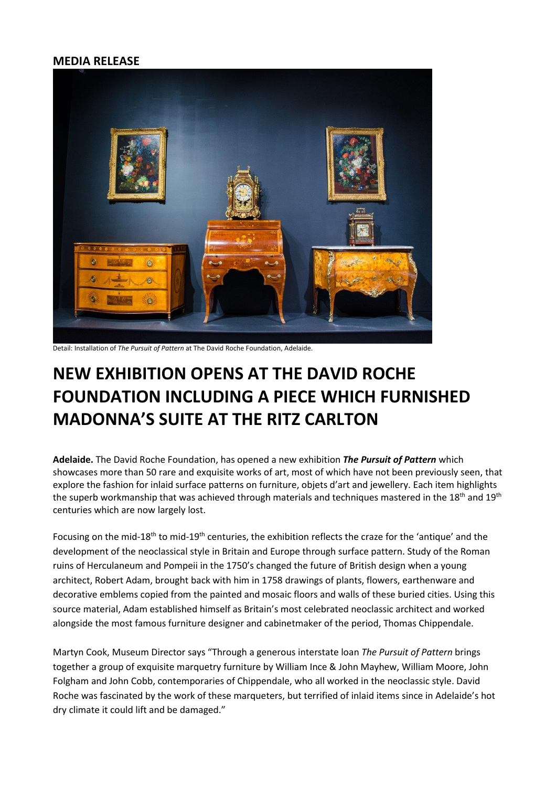## **MEDIA RELEASE**



Detail: Installation of *The Pursuit of Pattern* at The David Roche Foundation, Adelaide.

## **NEW EXHIBITION OPENS AT THE DAVID ROCHE FOUNDATION INCLUDING A PIECE WHICH FURNISHED MADONNA'S SUITE AT THE RITZ CARLTON**

**Adelaide.** The David Roche Foundation, has opened a new exhibition *The Pursuit of Pattern* which showcases more than 50 rare and exquisite works of art, most of which have not been previously seen, that explore the fashion for inlaid surface patterns on furniture, objets d'art and jewellery. Each item highlights the superb workmanship that was achieved through materials and techniques mastered in the 18<sup>th</sup> and 19<sup>th</sup> centuries which are now largely lost.

Focusing on the mid-18<sup>th</sup> to mid-19<sup>th</sup> centuries, the exhibition reflects the craze for the 'antique' and the development of the neoclassical style in Britain and Europe through surface pattern. Study of the Roman ruins of Herculaneum and Pompeii in the 1750's changed the future of British design when a young architect, Robert Adam, brought back with him in 1758 drawings of plants, flowers, earthenware and decorative emblems copied from the painted and mosaic floors and walls of these buried cities. Using this source material, Adam established himself as Britain's most celebrated neoclassic architect and worked alongside the most famous furniture designer and cabinetmaker of the period, Thomas Chippendale.

Martyn Cook, Museum Director says "Through a generous interstate loan *The Pursuit of Pattern* brings together a group of exquisite marquetry furniture by William Ince & John Mayhew, William Moore, John Folgham and John Cobb, contemporaries of Chippendale, who all worked in the neoclassic style. David Roche was fascinated by the work of these marqueters, but terrified of inlaid items since in Adelaide's hot dry climate it could lift and be damaged."